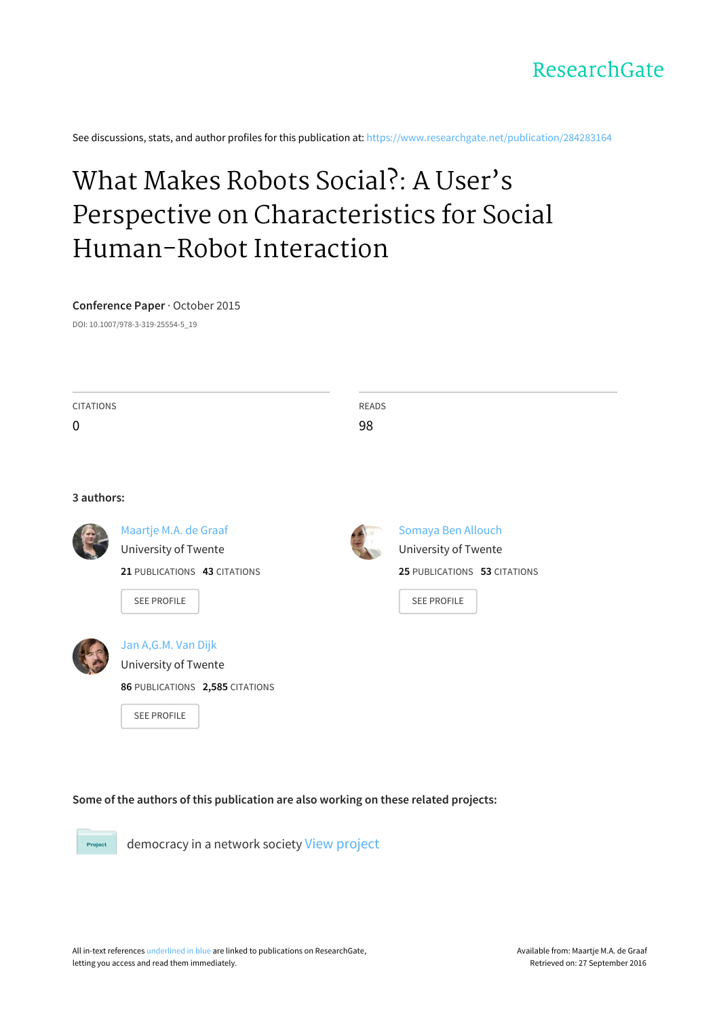

See discussions, stats, and author profiles for this publication at: [https://www.researchgate.net/publication/284283164](https://www.researchgate.net/publication/284283164_What_Makes_Robots_Social_A_User%27s_Perspective_on_Characteristics_for_Social_Human-Robot_Interaction?enrichId=rgreq-c86399e2f02eb1152307430a49f357b7-XXX&enrichSource=Y292ZXJQYWdlOzI4NDI4MzE2NDtBUzoyOTgyNDkzMzc0OTE0NjRAMTQ0ODExOTU5MTQ4Ng%3D%3D&el=1_x_2)

# What Makes Robots Social?: A User's Perspective on [Characteristics](https://www.researchgate.net/publication/284283164_What_Makes_Robots_Social_A_User%27s_Perspective_on_Characteristics_for_Social_Human-Robot_Interaction?enrichId=rgreq-c86399e2f02eb1152307430a49f357b7-XXX&enrichSource=Y292ZXJQYWdlOzI4NDI4MzE2NDtBUzoyOTgyNDkzMzc0OTE0NjRAMTQ0ODExOTU5MTQ4Ng%3D%3D&el=1_x_3) for Social Human-Robot Interaction

#### **Conference Paper** · October 2015

DOI: 10.1007/978-3-319-25554-5\_19

| <b>CITATIONS</b> |                                 | <b>READS</b> |                              |
|------------------|---------------------------------|--------------|------------------------------|
| $\mathbf 0$      |                                 | 98           |                              |
|                  |                                 |              |                              |
|                  |                                 |              |                              |
| 3 authors:       |                                 |              |                              |
|                  | Maartje M.A. de Graaf           |              | Somaya Ben Allouch           |
|                  | University of Twente            |              | University of Twente         |
|                  | 21 PUBLICATIONS 43 CITATIONS    |              | 25 PUBLICATIONS 53 CITATIONS |
|                  | <b>SEE PROFILE</b>              |              | <b>SEE PROFILE</b>           |
|                  |                                 |              |                              |
|                  | Jan A,G.M. Van Dijk             |              |                              |
|                  | University of Twente            |              |                              |
|                  | 86 PUBLICATIONS 2,585 CITATIONS |              |                              |
|                  | <b>SEE PROFILE</b>              |              |                              |
|                  |                                 |              |                              |
|                  |                                 |              |                              |

**Some of the authors of this publication are also working on these related projects:**



democracy in a network society View [project](https://www.researchgate.net/project/democracy-in-a-network-society?enrichId=rgreq-c86399e2f02eb1152307430a49f357b7-XXX&enrichSource=Y292ZXJQYWdlOzI4NDI4MzE2NDtBUzoyOTgyNDkzMzc0OTE0NjRAMTQ0ODExOTU5MTQ4Ng%3D%3D&el=1_x_9)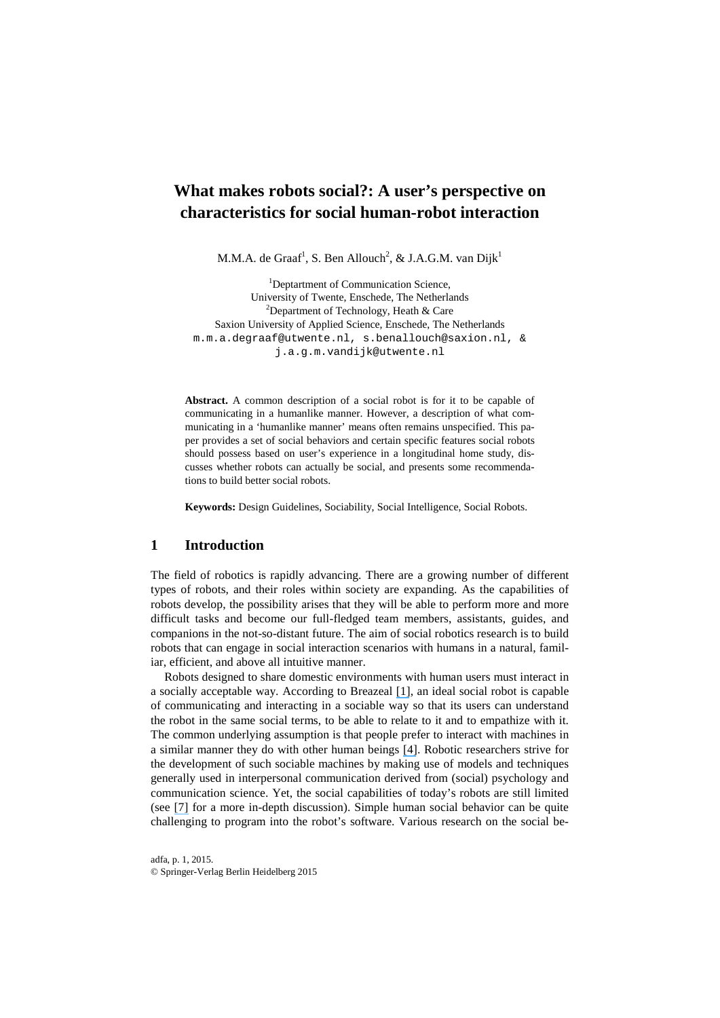# **What makes robots social?: A user's perspective on characteristics for social human-robot interaction**

M.M.A. de Graaf<sup>1</sup>, S. Ben Allouch<sup>2</sup>, & J.A.G.M. van Dijk<sup>1</sup>

<sup>1</sup>Deptartment of Communication Science, University of Twente, Enschede, The Netherlands <sup>2</sup>Department of Technology, Heath & Care Saxion University of Applied Science, Enschede, The Netherlands [m.m.a.degraaf@utwente.nl,](mailto:m.m.a.degraaf@utwente.nl) [s.benallouch@saxion.nl,](mailto:s.benallouch@saxion.nl) & j.a.g.m.vandijk@utwente.nl

**Abstract.** A common description of a social robot is for it to be capable of communicating in a humanlike manner. However, a description of what communicating in a 'humanlike manner' means often remains unspecified. This paper provides a set of social behaviors and certain specific features social robots should possess based on user's experience in a longitudinal home study, discusses whether robots can actually be social, and presents some recommendations to build better social robots.

**Keywords:** Design Guidelines, Sociability, Social Intelligence, Social Robots.

# **1 Introduction**

The field of robotics is rapidly advancing. There are a growing number of different types of robots, and their roles within society are expanding. As the capabilities of robots develop, the possibility arises that they will be able to perform more and more difficult tasks and become our full-fledged team members, assistants, guides, and companions in the not-so-distant future. The aim of social robotics research is to build robots that can engage in social interaction scenarios with humans in a natural, familiar, efficient, and above all intuitive manner.

Robots designed to share domestic environments with human users must interact in a socially acceptable way. According to Breazeal [\[1\]](https://www.researchgate.net/publication/220690255_Designing_Sociable_Robots?el=1_x_8&enrichId=rgreq-c86399e2f02eb1152307430a49f357b7-XXX&enrichSource=Y292ZXJQYWdlOzI4NDI4MzE2NDtBUzoyOTgyNDkzMzc0OTE0NjRAMTQ0ODExOTU5MTQ4Ng==), an ideal social robot is capable of communicating and interacting in a sociable way so that its users can understand the robot in the same social terms, to be able to relate to it and to empathize with it. The common underlying assumption is that people prefer to interact with machines in a similar manner they do with other human beings [\[4\]](https://www.researchgate.net/publication/236234707_A_Survey_of_Socially_Interactive_Robots?el=1_x_8&enrichId=rgreq-c86399e2f02eb1152307430a49f357b7-XXX&enrichSource=Y292ZXJQYWdlOzI4NDI4MzE2NDtBUzoyOTgyNDkzMzc0OTE0NjRAMTQ0ODExOTU5MTQ4Ng==). Robotic researchers strive for the development of such sociable machines by making use of models and techniques generally used in interpersonal communication derived from (social) psychology and communication science. Yet, the social capabilities of today's robots are still limited (see [\[7\]](https://www.researchgate.net/publication/284283230_Living_with_robots_Investigating_the_user_acceptance_of_social_robots_in_domestic_environments_doctoral_thesis?el=1_x_8&enrichId=rgreq-c86399e2f02eb1152307430a49f357b7-XXX&enrichSource=Y292ZXJQYWdlOzI4NDI4MzE2NDtBUzoyOTgyNDkzMzc0OTE0NjRAMTQ0ODExOTU5MTQ4Ng==) for a more in-depth discussion). Simple human social behavior can be quite challenging to program into the robot's software. Various research on the social be-

adfa, p. 1, 2015. © Springer-Verlag Berlin Heidelberg 2015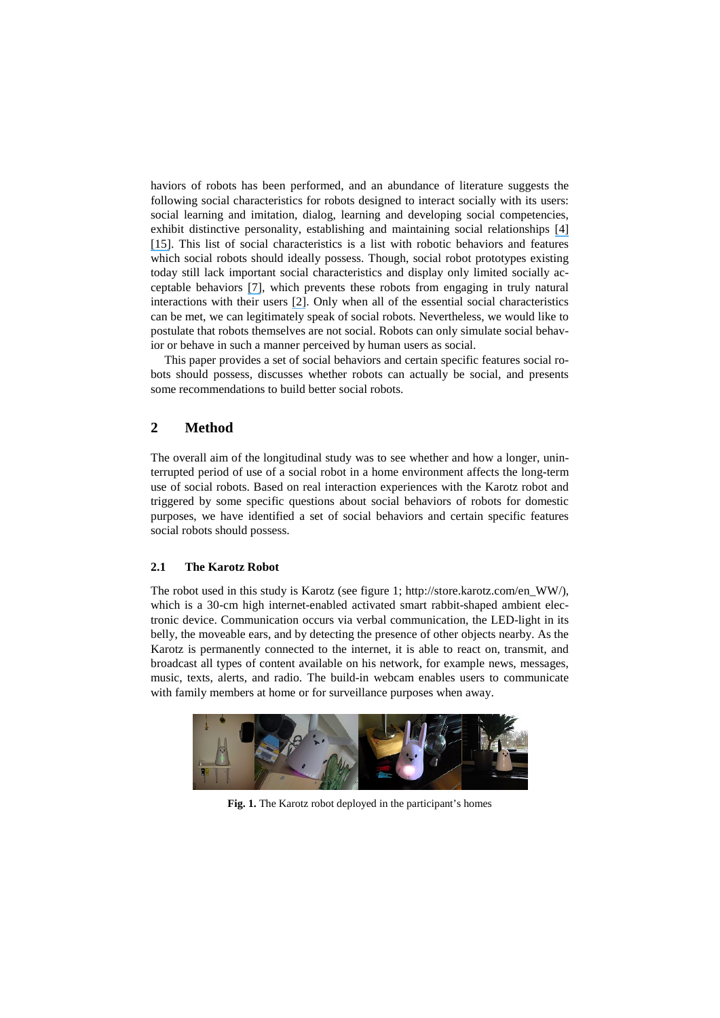haviors of robots has been performed, and an abundance of literature suggests the following social characteristics for robots designed to interact socially with its users: social learning and imitation, dialog, learning and developing social competencies, exhibit distinctive personality, establishing and maintaining social relationships [\[4\]](https://www.researchgate.net/publication/236234707_A_Survey_of_Socially_Interactive_Robots?el=1_x_8&enrichId=rgreq-c86399e2f02eb1152307430a49f357b7-XXX&enrichSource=Y292ZXJQYWdlOzI4NDI4MzE2NDtBUzoyOTgyNDkzMzc0OTE0NjRAMTQ0ODExOTU5MTQ4Ng==) [\[15\]](https://www.researchgate.net/publication/220604681_Designing_Embodied_Cues_for_Dialog_with_Robots?el=1_x_8&enrichId=rgreq-c86399e2f02eb1152307430a49f357b7-XXX&enrichSource=Y292ZXJQYWdlOzI4NDI4MzE2NDtBUzoyOTgyNDkzMzc0OTE0NjRAMTQ0ODExOTU5MTQ4Ng==). This list of social characteristics is a list with robotic behaviors and features which social robots should ideally possess. Though, social robot prototypes existing today still lack important social characteristics and display only limited socially acceptable behaviors [\[7\]](https://www.researchgate.net/publication/284283230_Living_with_robots_Investigating_the_user_acceptance_of_social_robots_in_domestic_environments_doctoral_thesis?el=1_x_8&enrichId=rgreq-c86399e2f02eb1152307430a49f357b7-XXX&enrichSource=Y292ZXJQYWdlOzI4NDI4MzE2NDtBUzoyOTgyNDkzMzc0OTE0NjRAMTQ0ODExOTU5MTQ4Ng==), which prevents these robots from engaging in truly natural interactions with their users [\[2\]](https://www.researchgate.net/publication/221052546_Detecting_user_engagement_with_a_robot_companion_using_task_and_social_interaction-based_features?el=1_x_8&enrichId=rgreq-c86399e2f02eb1152307430a49f357b7-XXX&enrichSource=Y292ZXJQYWdlOzI4NDI4MzE2NDtBUzoyOTgyNDkzMzc0OTE0NjRAMTQ0ODExOTU5MTQ4Ng==). Only when all of the essential social characteristics can be met, we can legitimately speak of social robots. Nevertheless, we would like to postulate that robots themselves are not social. Robots can only simulate social behavior or behave in such a manner perceived by human users as social.

This paper provides a set of social behaviors and certain specific features social robots should possess, discusses whether robots can actually be social, and presents some recommendations to build better social robots.

### **2 Method**

The overall aim of the longitudinal study was to see whether and how a longer, uninterrupted period of use of a social robot in a home environment affects the long-term use of social robots. Based on real interaction experiences with the Karotz robot and triggered by some specific questions about social behaviors of robots for domestic purposes, we have identified a set of social behaviors and certain specific features social robots should possess.

# **2.1 The Karotz Robot**

The robot used in this study is Karotz (see figure 1; [http://store.karotz.com/en\\_WW/\)](http://store.karotz.com/en_WW/), which is a 30-cm high internet-enabled activated smart rabbit-shaped ambient electronic device. Communication occurs via verbal communication, the LED-light in its belly, the moveable ears, and by detecting the presence of other objects nearby. As the Karotz is permanently connected to the internet, it is able to react on, transmit, and broadcast all types of content available on his network, for example news, messages, music, texts, alerts, and radio. The build-in webcam enables users to communicate with family members at home or for surveillance purposes when away.



**Fig. 1.** The Karotz robot deployed in the participant's homes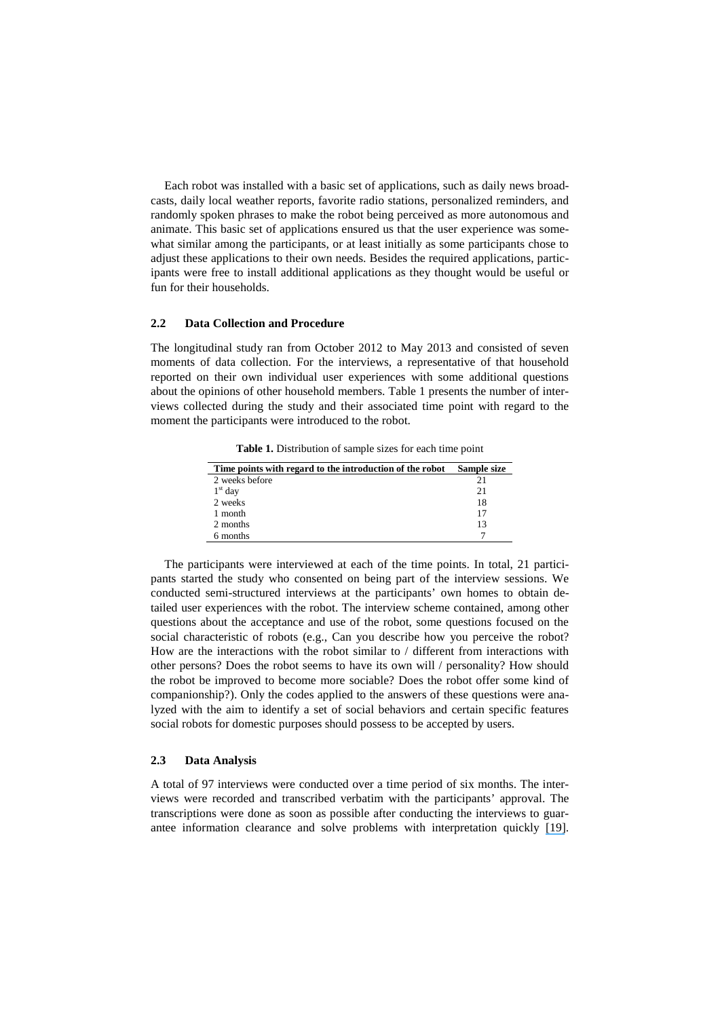Each robot was installed with a basic set of applications, such as daily news broadcasts, daily local weather reports, favorite radio stations, personalized reminders, and randomly spoken phrases to make the robot being perceived as more autonomous and animate. This basic set of applications ensured us that the user experience was somewhat similar among the participants, or at least initially as some participants chose to adjust these applications to their own needs. Besides the required applications, participants were free to install additional applications as they thought would be useful or fun for their households.

#### **2.2 Data Collection and Procedure**

The longitudinal study ran from October 2012 to May 2013 and consisted of seven moments of data collection. For the interviews, a representative of that household reported on their own individual user experiences with some additional questions about the opinions of other household members. Table 1 presents the number of interviews collected during the study and their associated time point with regard to the moment the participants were introduced to the robot.

**Table 1.** Distribution of sample sizes for each time point

| Time points with regard to the introduction of the robot | Sample size |
|----------------------------------------------------------|-------------|
| 2 weeks before                                           | 21          |
| $1st$ day                                                | 21          |
| 2 weeks                                                  | 18          |
| 1 month                                                  | 17          |
| 2 months                                                 | 13          |
| 6 months                                                 |             |

The participants were interviewed at each of the time points. In total, 21 participants started the study who consented on being part of the interview sessions. We conducted semi-structured interviews at the participants' own homes to obtain detailed user experiences with the robot. The interview scheme contained, among other questions about the acceptance and use of the robot, some questions focused on the social characteristic of robots (e.g., Can you describe how you perceive the robot? How are the interactions with the robot similar to / different from interactions with other persons? Does the robot seems to have its own will / personality? How should the robot be improved to become more sociable? Does the robot offer some kind of companionship?). Only the codes applied to the answers of these questions were analyzed with the aim to identify a set of social behaviors and certain specific features social robots for domestic purposes should possess to be accepted by users.

### **2.3 Data Analysis**

A total of 97 interviews were conducted over a time period of six months. The interviews were recorded and transcribed verbatim with the participants' approval. The transcriptions were done as soon as possible after conducting the interviews to guarantee information clearance and solve problems with interpretation quickly [\[19\]](https://www.researchgate.net/publication/246529589_Introduction_to_Qualitative_Research_Methods_A_Guidebook_and_Resource?el=1_x_8&enrichId=rgreq-c86399e2f02eb1152307430a49f357b7-XXX&enrichSource=Y292ZXJQYWdlOzI4NDI4MzE2NDtBUzoyOTgyNDkzMzc0OTE0NjRAMTQ0ODExOTU5MTQ4Ng==).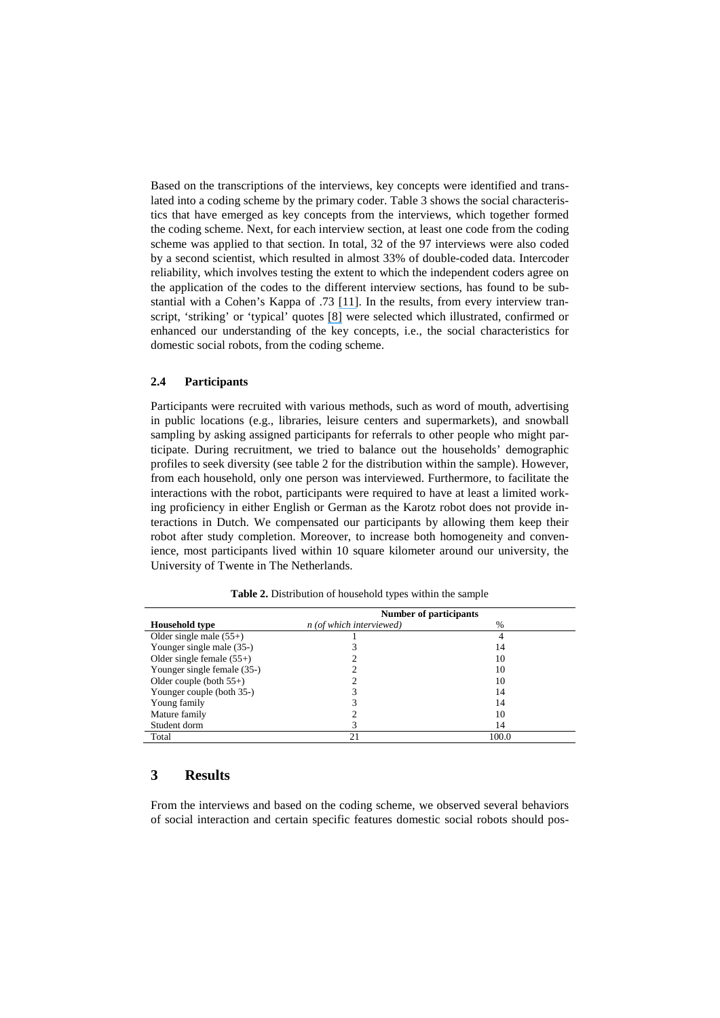Based on the transcriptions of the interviews, key concepts were identified and translated into a coding scheme by the primary coder. Table 3 shows the social characteristics that have emerged as key concepts from the interviews, which together formed the coding scheme. Next, for each interview section, at least one code from the coding scheme was applied to that section. In total, 32 of the 97 interviews were also coded by a second scientist, which resulted in almost 33% of double-coded data. Intercoder reliability, which involves testing the extent to which the independent coders agree on the application of the codes to the different interview sections, has found to be substantial with a Cohen's Kappa of .73 [\[11\]](https://www.researchgate.net/publication/22310512_The_Measurement_Of_Observer_Agreement_For_Categorical_Data?el=1_x_8&enrichId=rgreq-c86399e2f02eb1152307430a49f357b7-XXX&enrichSource=Y292ZXJQYWdlOzI4NDI4MzE2NDtBUzoyOTgyNDkzMzc0OTE0NjRAMTQ0ODExOTU5MTQ4Ng==). In the results, from every interview transcript, 'striking' or 'typical' quotes [\[8\]](https://www.researchgate.net/publication/268518931_Mass_Communication_Research_Methods?el=1_x_8&enrichId=rgreq-c86399e2f02eb1152307430a49f357b7-XXX&enrichSource=Y292ZXJQYWdlOzI4NDI4MzE2NDtBUzoyOTgyNDkzMzc0OTE0NjRAMTQ0ODExOTU5MTQ4Ng==) were selected which illustrated, confirmed or enhanced our understanding of the key concepts, i.e., the social characteristics for domestic social robots, from the coding scheme.

### **2.4 Participants**

Participants were recruited with various methods, such as word of mouth, advertising in public locations (e.g., libraries, leisure centers and supermarkets), and snowball sampling by asking assigned participants for referrals to other people who might participate. During recruitment, we tried to balance out the households' demographic profiles to seek diversity (see table 2 for the distribution within the sample). However, from each household, only one person was interviewed. Furthermore, to facilitate the interactions with the robot, participants were required to have at least a limited working proficiency in either English or German as the Karotz robot does not provide interactions in Dutch. We compensated our participants by allowing them keep their robot after study completion. Moreover, to increase both homogeneity and convenience, most participants lived within 10 square kilometer around our university, the University of Twente in The Netherlands.

|                             | <b>Number of participants</b> |       |  |
|-----------------------------|-------------------------------|-------|--|
| <b>Household type</b>       | n (of which interviewed)      | $\%$  |  |
| Older single male $(55+)$   |                               |       |  |
| Younger single male (35-)   |                               | 14    |  |
| Older single female $(55+)$ |                               | 10    |  |
| Younger single female (35-) |                               | 10    |  |
| Older couple (both $55+$ )  |                               | 10    |  |
| Younger couple (both 35-)   |                               | 14    |  |
| Young family                |                               | 14    |  |
| Mature family               |                               | 10    |  |
| Student dorm                |                               | 14    |  |
| Total                       | 21                            | 100.0 |  |

**Table 2.** Distribution of household types within the sample

# **3 Results**

From the interviews and based on the coding scheme, we observed several behaviors of social interaction and certain specific features domestic social robots should pos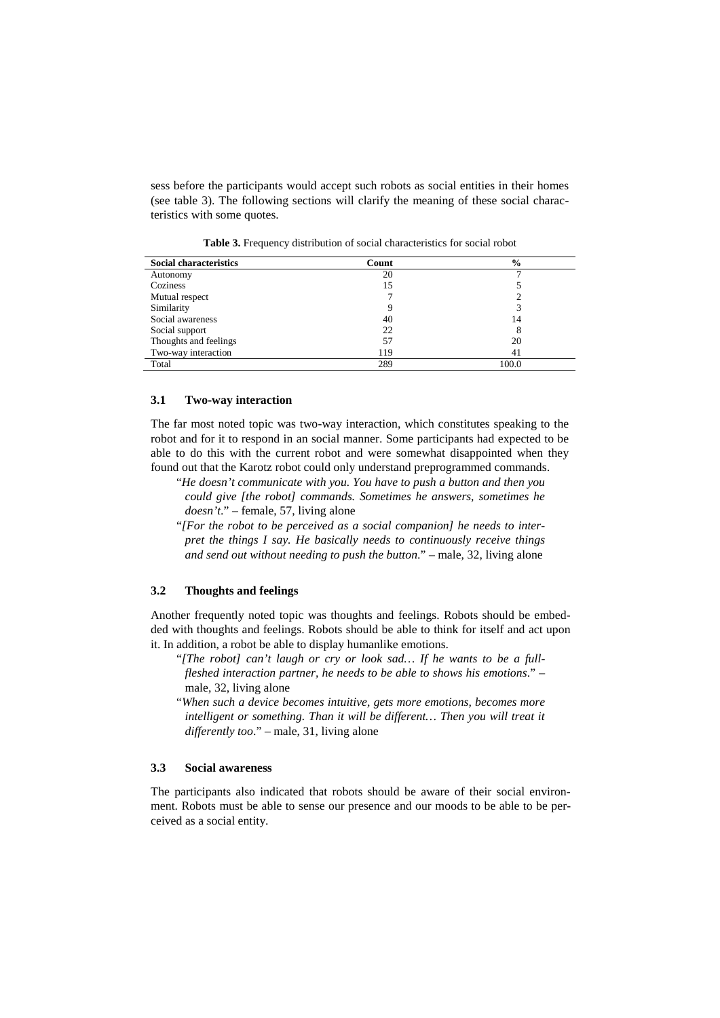sess before the participants would accept such robots as social entities in their homes (see table 3). The following sections will clarify the meaning of these social characteristics with some quotes.

| <b>Social characteristics</b> | Count | $\frac{0}{0}$ |
|-------------------------------|-------|---------------|
| Autonomy                      | 20    |               |
| Coziness                      | 15    |               |
| Mutual respect                |       |               |
| Similarity                    | 9     |               |
| Social awareness              | 40    | 14            |
| Social support                | 22    | 8             |
| Thoughts and feelings         | 57    | 20            |
| Two-way interaction           | 119   | 41            |
| Total                         | 289   | 100.0         |

**Table 3.** Frequency distribution of social characteristics for social robot

#### **3.1 Two-way interaction**

The far most noted topic was two-way interaction, which constitutes speaking to the robot and for it to respond in an social manner. Some participants had expected to be able to do this with the current robot and were somewhat disappointed when they found out that the Karotz robot could only understand preprogrammed commands.

- "*He doesn't communicate with you. You have to push a button and then you could give [the robot] commands. Sometimes he answers, sometimes he doesn't*." – female, 57, living alone
- "*[For the robot to be perceived as a social companion] he needs to interpret the things I say. He basically needs to continuously receive things and send out without needing to push the button*." – male, 32, living alone

# **3.2 Thoughts and feelings**

Another frequently noted topic was thoughts and feelings. Robots should be embedded with thoughts and feelings. Robots should be able to think for itself and act upon it. In addition, a robot be able to display humanlike emotions.

- "*[The robot] can't laugh or cry or look sad… If he wants to be a fullfleshed interaction partner, he needs to be able to shows his emotions*." – male, 32, living alone
- "*When such a device becomes intuitive, gets more emotions, becomes more*  intelligent or something. Than it will be different... Then you will treat it *differently too*." – male, 31, living alone

# **3.3 Social awareness**

The participants also indicated that robots should be aware of their social environment. Robots must be able to sense our presence and our moods to be able to be perceived as a social entity.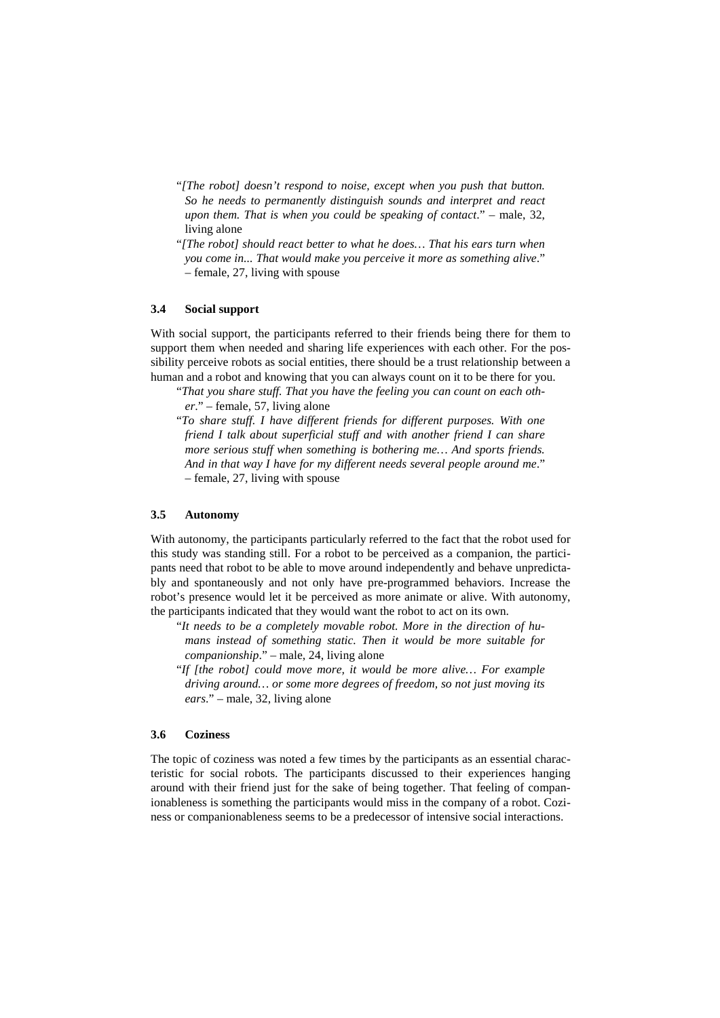- "*[The robot] doesn't respond to noise, except when you push that button. So he needs to permanently distinguish sounds and interpret and react upon them. That is when you could be speaking of contact*." – male, 32, living alone
- "*[The robot] should react better to what he does… That his ears turn when you come in... That would make you perceive it more as something alive*." – female, 27, living with spouse

# **3.4 Social support**

With social support, the participants referred to their friends being there for them to support them when needed and sharing life experiences with each other. For the possibility perceive robots as social entities, there should be a trust relationship between a human and a robot and knowing that you can always count on it to be there for you.

"*That you share stuff. That you have the feeling you can count on each other*." – female, 57, living alone

"*To share stuff. I have different friends for different purposes. With one friend I talk about superficial stuff and with another friend I can share more serious stuff when something is bothering me… And sports friends. And in that way I have for my different needs several people around me*." – female, 27, living with spouse

# **3.5 Autonomy**

With autonomy, the participants particularly referred to the fact that the robot used for this study was standing still. For a robot to be perceived as a companion, the participants need that robot to be able to move around independently and behave unpredictably and spontaneously and not only have pre-programmed behaviors. Increase the robot's presence would let it be perceived as more animate or alive. With autonomy, the participants indicated that they would want the robot to act on its own.

- "*It needs to be a completely movable robot. More in the direction of humans instead of something static. Then it would be more suitable for companionship*." – male, 24, living alone
- "*If [the robot] could move more, it would be more alive… For example driving around… or some more degrees of freedom, so not just moving its ears*." – male, 32, living alone

#### **3.6 Coziness**

The topic of coziness was noted a few times by the participants as an essential characteristic for social robots. The participants discussed to their experiences hanging around with their friend just for the sake of being together. That feeling of companionableness is something the participants would miss in the company of a robot. Coziness or companionableness seems to be a predecessor of intensive social interactions.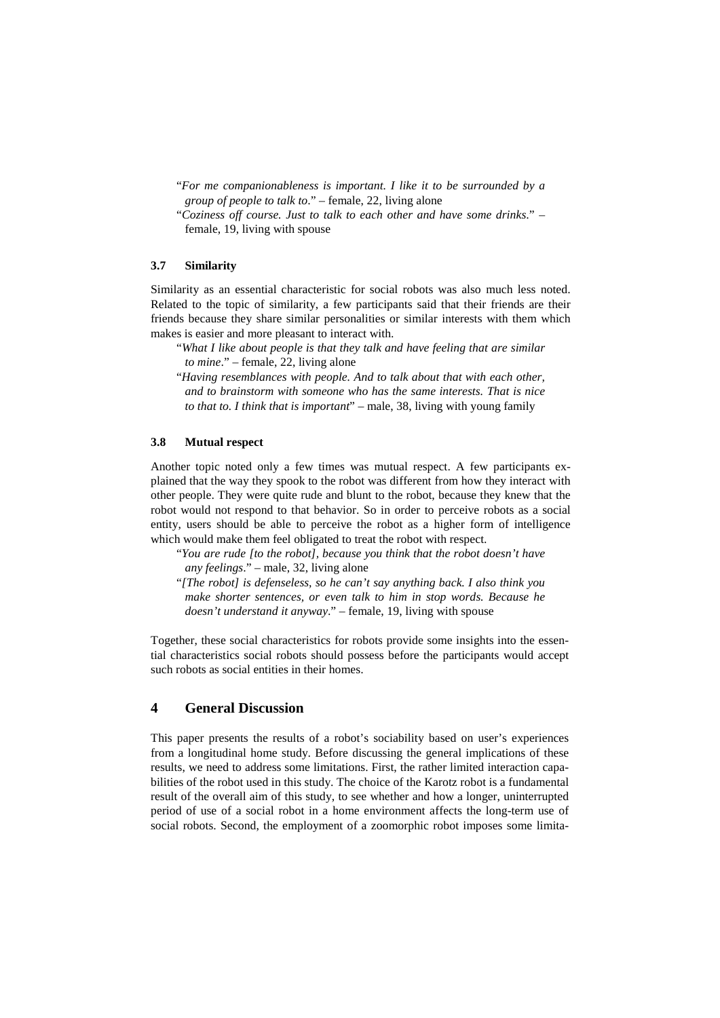- "*For me companionableness is important. I like it to be surrounded by a group of people to talk to*." – female, 22, living alone
- "*Coziness off course. Just to talk to each other and have some drinks*." female, 19, living with spouse

# **3.7 Similarity**

Similarity as an essential characteristic for social robots was also much less noted. Related to the topic of similarity, a few participants said that their friends are their friends because they share similar personalities or similar interests with them which makes is easier and more pleasant to interact with.

"*What I like about people is that they talk and have feeling that are similar to mine*." – female, 22, living alone

"*Having resemblances with people. And to talk about that with each other, and to brainstorm with someone who has the same interests. That is nice to that to. I think that is important*" – male, 38, living with young family

# **3.8 Mutual respect**

Another topic noted only a few times was mutual respect. A few participants explained that the way they spook to the robot was different from how they interact with other people. They were quite rude and blunt to the robot, because they knew that the robot would not respond to that behavior. So in order to perceive robots as a social entity, users should be able to perceive the robot as a higher form of intelligence which would make them feel obligated to treat the robot with respect.

- "*You are rude [to the robot], because you think that the robot doesn't have any feelings*." – male, 32, living alone
- "*[The robot] is defenseless, so he can't say anything back. I also think you make shorter sentences, or even talk to him in stop words. Because he doesn't understand it anyway*." – female, 19, living with spouse

Together, these social characteristics for robots provide some insights into the essential characteristics social robots should possess before the participants would accept such robots as social entities in their homes.

# **4 General Discussion**

This paper presents the results of a robot's sociability based on user's experiences from a longitudinal home study. Before discussing the general implications of these results, we need to address some limitations. First, the rather limited interaction capabilities of the robot used in this study. The choice of the Karotz robot is a fundamental result of the overall aim of this study, to see whether and how a longer, uninterrupted period of use of a social robot in a home environment affects the long-term use of social robots. Second, the employment of a zoomorphic robot imposes some limita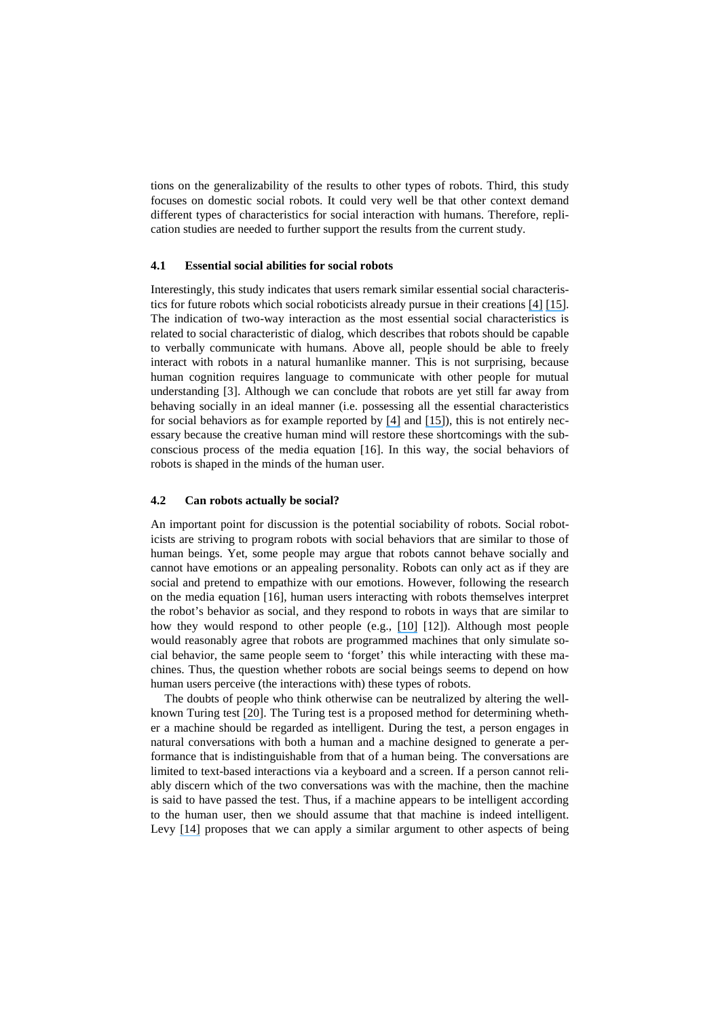tions on the generalizability of the results to other types of robots. Third, this study focuses on domestic social robots. It could very well be that other context demand different types of characteristics for social interaction with humans. Therefore, replication studies are needed to further support the results from the current study.

# **4.1 Essential social abilities for social robots**

Interestingly, this study indicates that users remark similar essential social characteristics for future robots which social roboticists already pursue in their creations [\[4\]](https://www.researchgate.net/publication/236234707_A_Survey_of_Socially_Interactive_Robots?el=1_x_8&enrichId=rgreq-c86399e2f02eb1152307430a49f357b7-XXX&enrichSource=Y292ZXJQYWdlOzI4NDI4MzE2NDtBUzoyOTgyNDkzMzc0OTE0NjRAMTQ0ODExOTU5MTQ4Ng==) [\[15\]](https://www.researchgate.net/publication/220604681_Designing_Embodied_Cues_for_Dialog_with_Robots?el=1_x_8&enrichId=rgreq-c86399e2f02eb1152307430a49f357b7-XXX&enrichSource=Y292ZXJQYWdlOzI4NDI4MzE2NDtBUzoyOTgyNDkzMzc0OTE0NjRAMTQ0ODExOTU5MTQ4Ng==). The indication of two-way interaction as the most essential social characteristics is related to social characteristic of dialog, which describes that robots should be capable to verbally communicate with humans. Above all, people should be able to freely interact with robots in a natural humanlike manner. This is not surprising, because human cognition requires language to communicate with other people for mutual understanding [3]. Although we can conclude that robots are yet still far away from behaving socially in an ideal manner (i.e. possessing all the essential characteristics for social behaviors as for example reported by [\[4\]](https://www.researchgate.net/publication/236234707_A_Survey_of_Socially_Interactive_Robots?el=1_x_8&enrichId=rgreq-c86399e2f02eb1152307430a49f357b7-XXX&enrichSource=Y292ZXJQYWdlOzI4NDI4MzE2NDtBUzoyOTgyNDkzMzc0OTE0NjRAMTQ0ODExOTU5MTQ4Ng==) and [\[15\]](https://www.researchgate.net/publication/220604681_Designing_Embodied_Cues_for_Dialog_with_Robots?el=1_x_8&enrichId=rgreq-c86399e2f02eb1152307430a49f357b7-XXX&enrichSource=Y292ZXJQYWdlOzI4NDI4MzE2NDtBUzoyOTgyNDkzMzc0OTE0NjRAMTQ0ODExOTU5MTQ4Ng==)), this is not entirely necessary because the creative human mind will restore these shortcomings with the subconscious process of the media equation [16]. In this way, the social behaviors of robots is shaped in the minds of the human user.

#### **4.2 Can robots actually be social?**

An important point for discussion is the potential sociability of robots. Social roboticists are striving to program robots with social behaviors that are similar to those of human beings. Yet, some people may argue that robots cannot behave socially and cannot have emotions or an appealing personality. Robots can only act as if they are social and pretend to empathize with our emotions. However, following the research on the media equation [16], human users interacting with robots themselves interpret the robot's behavior as social, and they respond to robots in ways that are similar to how they would respond to other people (e.g., [\[10\]](https://www.researchgate.net/publication/261132524_What_makes_people_empathize_with_an_emotional_robot_The_impact_of_agency_and_physical_embodiment_on_human_empathy_for_a_robot?el=1_x_8&enrichId=rgreq-c86399e2f02eb1152307430a49f357b7-XXX&enrichSource=Y292ZXJQYWdlOzI4NDI4MzE2NDtBUzoyOTgyNDkzMzc0OTE0NjRAMTQ0ODExOTU5MTQ4Ng==) [12]). Although most people would reasonably agree that robots are programmed machines that only simulate social behavior, the same people seem to 'forget' this while interacting with these machines. Thus, the question whether robots are social beings seems to depend on how human users perceive (the interactions with) these types of robots.

The doubts of people who think otherwise can be neutralized by altering the wellknown Turing test [\[20\]](https://www.researchgate.net/publication/224982542_Computing_Machinery_and_Intelligence?el=1_x_8&enrichId=rgreq-c86399e2f02eb1152307430a49f357b7-XXX&enrichSource=Y292ZXJQYWdlOzI4NDI4MzE2NDtBUzoyOTgyNDkzMzc0OTE0NjRAMTQ0ODExOTU5MTQ4Ng==). The Turing test is a proposed method for determining whether a machine should be regarded as intelligent. During the test, a person engages in natural conversations with both a human and a machine designed to generate a performance that is indistinguishable from that of a human being. The conversations are limited to text-based interactions via a keyboard and a screen. If a person cannot reliably discern which of the two conversations was with the machine, then the machine is said to have passed the test. Thus, if a machine appears to be intelligent according to the human user, then we should assume that that machine is indeed intelligent. Levy [\[14\]](https://www.researchgate.net/publication/272087320_Love_Sex_with_Robots_The_Evolution_of_Human-Robot_Relationships?el=1_x_8&enrichId=rgreq-c86399e2f02eb1152307430a49f357b7-XXX&enrichSource=Y292ZXJQYWdlOzI4NDI4MzE2NDtBUzoyOTgyNDkzMzc0OTE0NjRAMTQ0ODExOTU5MTQ4Ng==) proposes that we can apply a similar argument to other aspects of being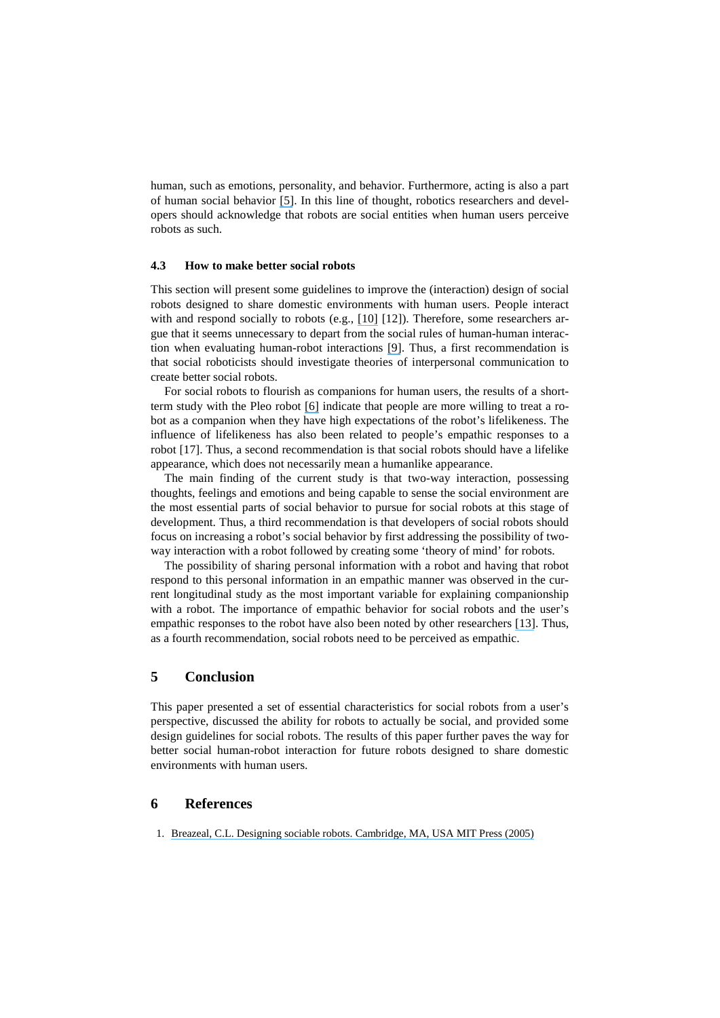human, such as emotions, personality, and behavior. Furthermore, acting is also a part of human social behavior [\[5\]](https://www.researchgate.net/publication/256600143_The_Presentation_of_Self_In_Everyday_Life?el=1_x_8&enrichId=rgreq-c86399e2f02eb1152307430a49f357b7-XXX&enrichSource=Y292ZXJQYWdlOzI4NDI4MzE2NDtBUzoyOTgyNDkzMzc0OTE0NjRAMTQ0ODExOTU5MTQ4Ng==). In this line of thought, robotics researchers and developers should acknowledge that robots are social entities when human users perceive robots as such.

#### **4.3 How to make better social robots**

This section will present some guidelines to improve the (interaction) design of social robots designed to share domestic environments with human users. People interact with and respond socially to robots (e.g., [\[10\]](https://www.researchgate.net/publication/261132524_What_makes_people_empathize_with_an_emotional_robot_The_impact_of_agency_and_physical_embodiment_on_human_empathy_for_a_robot?el=1_x_8&enrichId=rgreq-c86399e2f02eb1152307430a49f357b7-XXX&enrichSource=Y292ZXJQYWdlOzI4NDI4MzE2NDtBUzoyOTgyNDkzMzc0OTE0NjRAMTQ0ODExOTU5MTQ4Ng==) [12]). Therefore, some researchers argue that it seems unnecessary to depart from the social rules of human-human interaction when evaluating human-robot interactions [\[9\]](https://www.researchgate.net/publication/220356346_Theory_of_Companions_What_Can_Theoretical_Models_Contribute_to_Applications_and_Understanding_of_Human-Robot_Interaction?el=1_x_8&enrichId=rgreq-c86399e2f02eb1152307430a49f357b7-XXX&enrichSource=Y292ZXJQYWdlOzI4NDI4MzE2NDtBUzoyOTgyNDkzMzc0OTE0NjRAMTQ0ODExOTU5MTQ4Ng==). Thus, a first recommendation is that social roboticists should investigate theories of interpersonal communication to create better social robots.

For social robots to flourish as companions for human users, the results of a shortterm study with the Pleo robot [\[6\]](https://www.researchgate.net/publication/262285001_Expectation_setting_and_personality_attribution_in_HRI?el=1_x_8&enrichId=rgreq-c86399e2f02eb1152307430a49f357b7-XXX&enrichSource=Y292ZXJQYWdlOzI4NDI4MzE2NDtBUzoyOTgyNDkzMzc0OTE0NjRAMTQ0ODExOTU5MTQ4Ng==) indicate that people are more willing to treat a robot as a companion when they have high expectations of the robot's lifelikeness. The influence of lifelikeness has also been related to people's empathic responses to a robot [17]. Thus, a second recommendation is that social robots should have a lifelike appearance, which does not necessarily mean a humanlike appearance.

The main finding of the current study is that two-way interaction, possessing thoughts, feelings and emotions and being capable to sense the social environment are the most essential parts of social behavior to pursue for social robots at this stage of development. Thus, a third recommendation is that developers of social robots should focus on increasing a robot's social behavior by first addressing the possibility of twoway interaction with a robot followed by creating some 'theory of mind' for robots.

The possibility of sharing personal information with a robot and having that robot respond to this personal information in an empathic manner was observed in the current longitudinal study as the most important variable for explaining companionship with a robot. The importance of empathic behavior for social robots and the user's empathic responses to the robot have also been noted by other researchers [\[13\]](https://www.researchgate.net/publication/278086326_Empathic_Robots_for_Long-term_Interaction?el=1_x_8&enrichId=rgreq-c86399e2f02eb1152307430a49f357b7-XXX&enrichSource=Y292ZXJQYWdlOzI4NDI4MzE2NDtBUzoyOTgyNDkzMzc0OTE0NjRAMTQ0ODExOTU5MTQ4Ng==). Thus, as a fourth recommendation, social robots need to be perceived as empathic.

# **5 Conclusion**

This paper presented a set of essential characteristics for social robots from a user's perspective, discussed the ability for robots to actually be social, and provided some design guidelines for social robots. The results of this paper further paves the way for better social human-robot interaction for future robots designed to share domestic environments with human users.

# **6 References**

1. [Breazeal, C.L. Designing sociable robots. Cambridge, MA, USA MIT Press \(2005\)](https://www.researchgate.net/publication/220690255_Designing_Sociable_Robots?el=1_x_8&enrichId=rgreq-c86399e2f02eb1152307430a49f357b7-XXX&enrichSource=Y292ZXJQYWdlOzI4NDI4MzE2NDtBUzoyOTgyNDkzMzc0OTE0NjRAMTQ0ODExOTU5MTQ4Ng==)